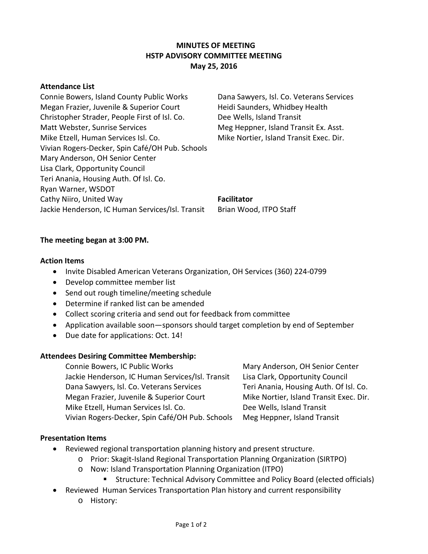# **MINUTES OF MEETING HSTP ADVISORY COMMITTEE MEETING May 25, 2016**

#### **Attendance List**

Connie Bowers, Island County Public Works Dana Sawyers, Isl. Co. Veterans Services Megan Frazier, Juvenile & Superior Court Heidi Saunders, Whidbey Health Christopher Strader, People First of Isl. Co. Dee Wells, Island Transit Matt Webster, Sunrise Services Meg Heppner, Island Transit Ex. Asst. Mike Etzell, Human Services Isl. Co. Mike Nortier, Island Transit Exec. Dir. Vivian Rogers-Decker, Spin Café/OH Pub. Schools Mary Anderson, OH Senior Center Lisa Clark, Opportunity Council Teri Anania, Housing Auth. Of Isl. Co. Ryan Warner, WSDOT Cathy Niiro, United Way **Facilitator** Jackie Henderson, IC Human Services/Isl. Transit Brian Wood, ITPO Staff

# **The meeting began at 3:00 PM.**

#### **Action Items**

- Invite Disabled American Veterans Organization, OH Services (360) 224-0799
- Develop committee member list
- Send out rough timeline/meeting schedule
- Determine if ranked list can be amended
- Collect scoring criteria and send out for feedback from committee
- Application available soon—sponsors should target completion by end of September
- Due date for applications: Oct. 14!

## **Attendees Desiring Committee Membership:**

Connie Bowers, IC Public Works Mary Anderson, OH Senior Center Jackie Henderson, IC Human Services/Isl. Transit Lisa Clark, Opportunity Council Dana Sawyers, Isl. Co. Veterans Services Teri Anania, Housing Auth. Of Isl. Co. Megan Frazier, Juvenile & Superior Court Mike Nortier, Island Transit Exec. Dir. Mike Etzell, Human Services Isl. Co. The Mells, Island Transit Vivian Rogers-Decker, Spin Café/OH Pub. Schools Meg Heppner, Island Transit

## **Presentation Items**

- Reviewed regional transportation planning history and present structure.
	- o Prior: Skagit-Island Regional Transportation Planning Organization (SIRTPO)
	- o Now: Island Transportation Planning Organization (ITPO)
		- Structure: Technical Advisory Committee and Policy Board (elected officials)
- Reviewed Human Services Transportation Plan history and current responsibility
	- o History: